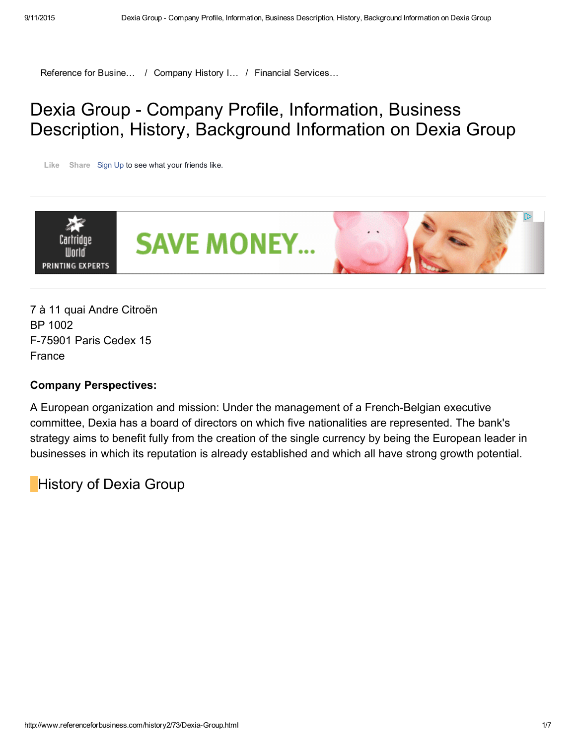[Reference](http://www.referenceforbusiness.com/index.html) for Busine... / [Company](http://www.referenceforbusiness.com/history2/index.html) History I... / Financial Services...

# Dexia Group - Company Profile, Information, Business Description, History, Background Information on Dexia Group

Like Share [Sign](https://www.facebook.com/campaign/landing.php?campaign_id=137675572948107&partner_id=referenceforbusiness.com&placement=like_plugin&extra_1=http%3A%2F%2Fwww.referenceforbusiness.com%2Fhistory2%2F73%2FDexia-Group.html&extra_2=US) Up to see what your friends like.



7 à 11 quai Andre Citroën BP 1002 F75901 Paris Cedex 15 France

### Company Perspectives:

A European organization and mission: Under the management of a French-Belgian executive committee, Dexia has a board of directors on which five nationalities are represented. The bank's strategy aims to benefit fully from the creation of the single currency by being the European leader in businesses in which its reputation is already established and which all have strong growth potential.

History of Dexia Group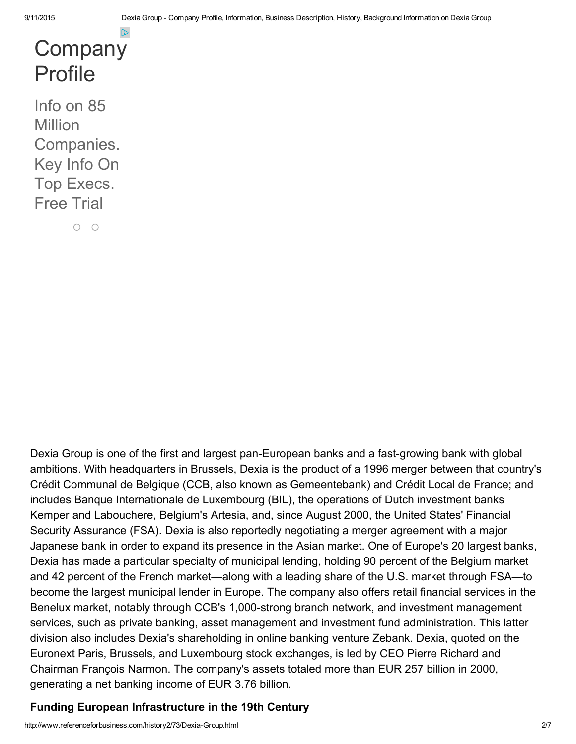# **[Company](http://www.googleadservices.com/pagead/aclk?sa=L&ai=CIr0I2iPzVfjSK4qJ3AGB1ZH4Cpvq2tsHw5S7-XfAjbcBEAEggab0AWDJtpmH0KPYEKAB69_k_gPIAQGoAwHIA8MEqgSoAU_Qk-PCNq8POjc6OsFyEi-r2ZVZHqsIBzwo3DMxODjkvJtlpdx_DG1mow1whDQdzmnJgdph4AavevQx2LdNoJDcpDzAWQxZe47hDd1R1u63VeBg7rr3fyKluwxOdDhND2Nl5pPGnnOTPwvxsRCLD7a-XHI7k1lxvlgOczQrubTJuTJRC5TqSDDPA3idyhYSLThkoXx2D97ufrJEKJBie0AXnD9jNFXeoYgGAYAH_Z-bAagHpr4b2AcB&num=1&cid=5GieDq_I123rn5Y4fsfVYI5h&sig=AOD64_3pf6v3usm4j8flCendc-kWtODD-A&client=ca-pub-5788426211617053&adurl=http://www.hoovers.com/mktsem/unlimited-access-company-profiles.html%3Fserv%3DSEMGGLSCA-Search%2520Companion%2520Marketing-Company%2520Profiles-company%2520profile-32117877179-2%26wf%3D70130000000KoKNAA0%26ch%3D70130000000KhjR%26mm_campaign%3D8ba3a0d4c6f13535f20bd2845b691438%26keyword%3Dcompany%2520profile%26utm_campaign%3DSearch%2520Companion%2520Marketing%26utm_medium%3DCPC%26utm_source%3DGGL)** Profile

Info on 85 **Million** Companies. Key Info On Top Execs. Free Trial

 $O$   $O$ 

Dexia Group is one of the first and largest pan-European banks and a fast-growing bank with global ambitions. With headquarters in Brussels, Dexia is the product of a 1996 merger between that country's Crédit Communal de Belgique (CCB, also known as Gemeentebank) and Crédit Local de France; and includes Banque Internationale de Luxembourg (BIL), the operations of Dutch investment banks Kemper and Labouchere, Belgium's Artesia, and, since August 2000, the United States' Financial Security Assurance (FSA). Dexia is also reportedly negotiating a merger agreement with a major Japanese bank in order to expand its presence in the Asian market. One of Europe's 20 largest banks, Dexia has made a particular specialty of municipal lending, holding 90 percent of the Belgium market and 42 percent of the French market—along with a leading share of the U.S. market through FSA—to become the largest municipal lender in Europe. The company also offers retail financial services in the Benelux market, notably through CCB's 1,000-strong branch network, and investment management services, such as private banking, asset management and investment fund administration. This latter division also includes Dexia's shareholding in online banking venture Zebank. Dexia, quoted on the Euronext Paris, Brussels, and Luxembourg stock exchanges, is led by CEO Pierre Richard and Chairman François Narmon. The company's assets totaled more than EUR 257 billion in 2000, generating a net banking income of EUR 3.76 billion.

### Funding European Infrastructure in the 19th Century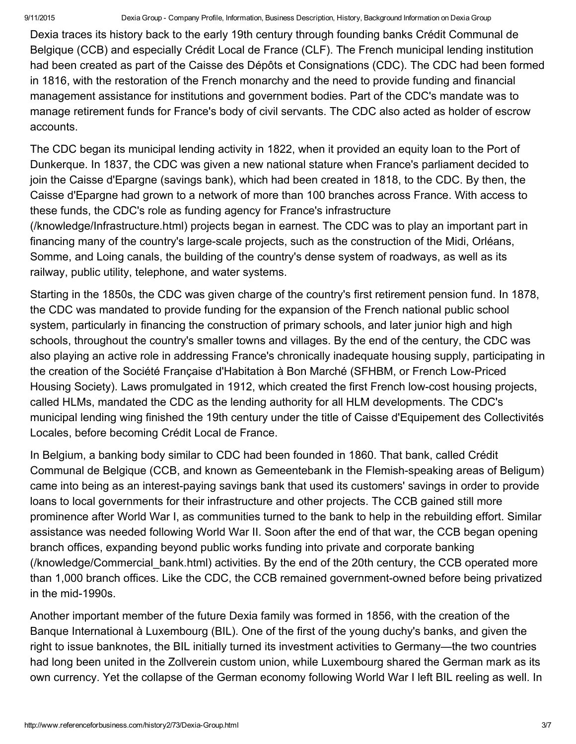Dexia traces its history back to the early 19th century through founding banks Crédit Communal de Belgique (CCB) and especially Crédit Local de France (CLF). The French municipal lending institution had been created as part of the Caisse des Dépôts et Consignations (CDC). The CDC had been formed in 1816, with the restoration of the French monarchy and the need to provide funding and financial management assistance for institutions and government bodies. Part of the CDC's mandate was to manage retirement funds for France's body of civil servants. The CDC also acted as holder of escrow accounts.

The CDC began its municipal lending activity in 1822, when it provided an equity loan to the Port of Dunkerque. In 1837, the CDC was given a new national stature when France's parliament decided to join the Caisse d'Epargne (savings bank), which had been created in 1818, to the CDC. By then, the Caisse d'Epargne had grown to a network of more than 100 branches across France. With access to these funds, the CDC's role as funding agency for France's infrastructure [\(/knowledge/Infrastructure.html\)](http://www.referenceforbusiness.com/knowledge/Infrastructure.html) projects began in earnest. The CDC was to play an important part in financing many of the country's large-scale projects, such as the construction of the Midi, Orléans, Somme, and Loing canals, the building of the country's dense system of roadways, as well as its railway, public utility, telephone, and water systems.

Starting in the 1850s, the CDC was given charge of the country's first retirement pension fund. In 1878, the CDC was mandated to provide funding for the expansion of the French national public school system, particularly in financing the construction of primary schools, and later junior high and high schools, throughout the country's smaller towns and villages. By the end of the century, the CDC was also playing an active role in addressing France's chronically inadequate housing supply, participating in the creation of the Société Française d'Habitation à Bon Marché (SFHBM, or French Low-Priced Housing Society). Laws promulgated in 1912, which created the first French lowcost housing projects, called HLMs, mandated the CDC as the lending authority for all HLM developments. The CDC's municipal lending wing finished the 19th century under the title of Caisse d'Equipement des Collectivités Locales, before becoming Crédit Local de France.

In Belgium, a banking body similar to CDC had been founded in 1860. That bank, called Crédit Communal de Belgique (CCB, and known as Gemeentebank in the Flemish-speaking areas of Beligum) came into being as an interest-paying savings bank that used its customers' savings in order to provide loans to local governments for their infrastructure and other projects. The CCB gained still more prominence after World War I, as communities turned to the bank to help in the rebuilding effort. Similar assistance was needed following World War II. Soon after the end of that war, the CCB began opening branch offices, expanding beyond public works funding into private and corporate banking [\(/knowledge/Commercial\\_bank.html\)](http://www.referenceforbusiness.com/knowledge/Commercial_bank.html) activities. By the end of the 20th century, the CCB operated more than 1,000 branch offices. Like the CDC, the CCB remained government-owned before being privatized in the mid-1990s.

Another important member of the future Dexia family was formed in 1856, with the creation of the Banque International à Luxembourg (BIL). One of the first of the young duchy's banks, and given the right to issue banknotes, the BIL initially turned its investment activities to Germany—the two countries had long been united in the Zollverein custom union, while Luxembourg shared the German mark as its own currency. Yet the collapse of the German economy following World War I left BIL reeling as well. In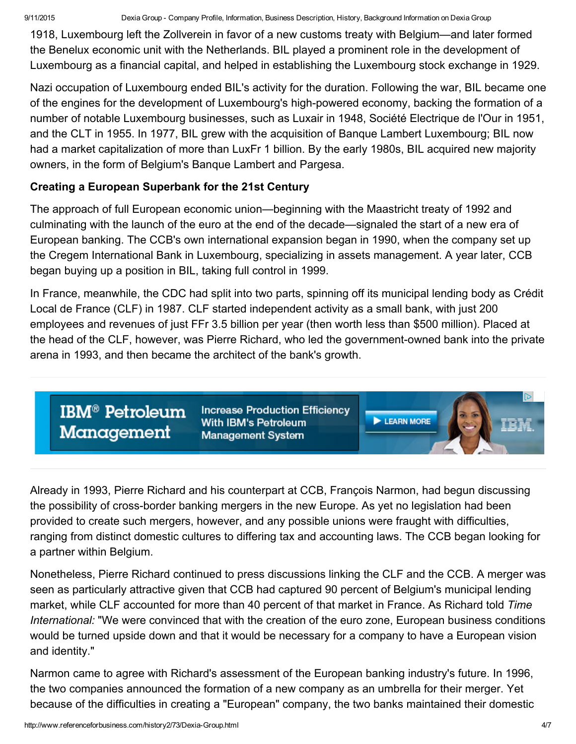9/11/2015 Dexia Group Company Profile, Information, Business Description, History, Background Information on Dexia Group

1918, Luxembourg left the Zollverein in favor of a new customs treaty with Belgium—and later formed the Benelux economic unit with the Netherlands. BIL played a prominent role in the development of Luxembourg as a financial capital, and helped in establishing the Luxembourg stock exchange in 1929.

Nazi occupation of Luxembourg ended BIL's activity for the duration. Following the war, BIL became one of the engines for the development of Luxembourg's high-powered economy, backing the formation of a number of notable Luxembourg businesses, such as Luxair in 1948, Société Electrique de l'Our in 1951, and the CLT in 1955. In 1977, BIL grew with the acquisition of Banque Lambert Luxembourg; BIL now had a market capitalization of more than LuxFr 1 billion. By the early 1980s, BIL acquired new majority owners, in the form of Belgium's Banque Lambert and Pargesa.

### Creating a European Superbank for the 21st Century

The approach of full European economic union—beginning with the Maastricht treaty of 1992 and culminating with the launch of the euro at the end of the decade—signaled the start of a new era of European banking. The CCB's own international expansion began in 1990, when the company set up the Cregem International Bank in Luxembourg, specializing in assets management. A year later, CCB began buying up a position in BIL, taking full control in 1999.

In France, meanwhile, the CDC had split into two parts, spinning off its municipal lending body as Crédit Local de France (CLF) in 1987. CLF started independent activity as a small bank, with just 200 employees and revenues of just FFr 3.5 billion per year (then worth less than \$500 million). Placed at the head of the CLF, however, was Pierre Richard, who led the government-owned bank into the private arena in 1993, and then became the architect of the bank's growth.

**IBM<sup>®</sup> Petroleum** Management

**Increase Production Efficiency** With IBM's Petroleum **Management System** 

**LEARN MORE** 

Already in 1993, Pierre Richard and his counterpart at CCB, François Narmon, had begun discussing the possibility of cross-border banking mergers in the new Europe. As yet no legislation had been provided to create such mergers, however, and any possible unions were fraught with difficulties, ranging from distinct domestic cultures to differing tax and accounting laws. The CCB began looking for a partner within Belgium.

Nonetheless, Pierre Richard continued to press discussions linking the CLF and the CCB. A merger was seen as particularly attractive given that CCB had captured 90 percent of Belgium's municipal lending market, while CLF accounted for more than 40 percent of that market in France. As Richard told *Time International:* "We were convinced that with the creation of the euro zone, European business conditions would be turned upside down and that it would be necessary for a company to have a European vision and identity."

Narmon came to agree with Richard's assessment of the European banking industry's future. In 1996, the two companies announced the formation of a new company as an umbrella for their merger. Yet because of the difficulties in creating a "European" company, the two banks maintained their domestic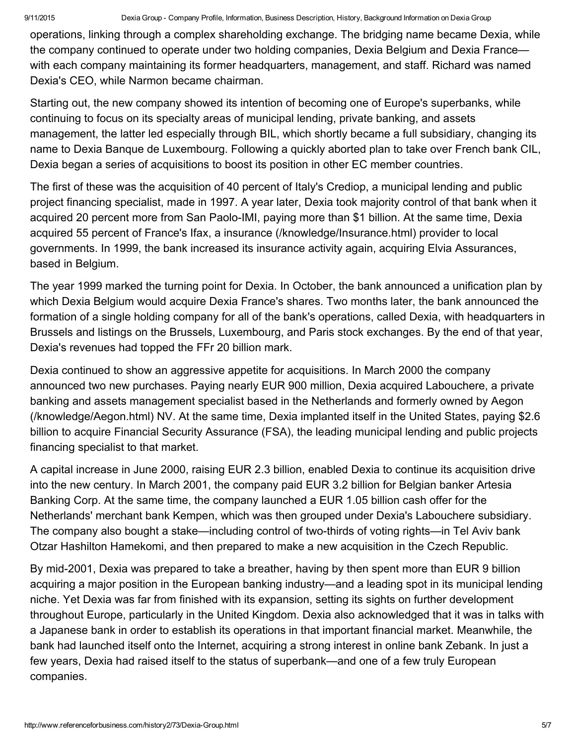operations, linking through a complex shareholding exchange. The bridging name became Dexia, while the company continued to operate under two holding companies, Dexia Belgium and Dexia France with each company maintaining its former headquarters, management, and staff. Richard was named Dexia's CEO, while Narmon became chairman.

Starting out, the new company showed its intention of becoming one of Europe's superbanks, while continuing to focus on its specialty areas of municipal lending, private banking, and assets management, the latter led especially through BIL, which shortly became a full subsidiary, changing its name to Dexia Banque de Luxembourg. Following a quickly aborted plan to take over French bank CIL, Dexia began a series of acquisitions to boost its position in other EC member countries.

The first of these was the acquisition of 40 percent of Italy's Crediop, a municipal lending and public project financing specialist, made in 1997. A year later, Dexia took majority control of that bank when it acquired 20 percent more from San Paolo-IMI, paying more than \$1 billion. At the same time, Dexia acquired 55 percent of France's Ifax, a insurance [\(/knowledge/Insurance.html\)](http://www.referenceforbusiness.com/knowledge/Insurance.html) provider to local governments. In 1999, the bank increased its insurance activity again, acquiring Elvia Assurances, based in Belgium.

The year 1999 marked the turning point for Dexia. In October, the bank announced a unification plan by which Dexia Belgium would acquire Dexia France's shares. Two months later, the bank announced the formation of a single holding company for all of the bank's operations, called Dexia, with headquarters in Brussels and listings on the Brussels, Luxembourg, and Paris stock exchanges. By the end of that year, Dexia's revenues had topped the FFr 20 billion mark.

Dexia continued to show an aggressive appetite for acquisitions. In March 2000 the company announced two new purchases. Paying nearly EUR 900 million, Dexia acquired Labouchere, a private banking and assets management specialist based in the Netherlands and formerly owned by Aegon [\(/knowledge/Aegon.html\)](http://www.referenceforbusiness.com/knowledge/Aegon.html) NV. At the same time, Dexia implanted itself in the United States, paying \$2.6 billion to acquire Financial Security Assurance (FSA), the leading municipal lending and public projects financing specialist to that market.

A capital increase in June 2000, raising EUR 2.3 billion, enabled Dexia to continue its acquisition drive into the new century. In March 2001, the company paid EUR 3.2 billion for Belgian banker Artesia Banking Corp. At the same time, the company launched a EUR 1.05 billion cash offer for the Netherlands' merchant bank Kempen, which was then grouped under Dexia's Labouchere subsidiary. The company also bought a stake—including control of two-thirds of voting rights—in Tel Aviv bank Otzar Hashilton Hamekomi, and then prepared to make a new acquisition in the Czech Republic.

By mid-2001, Dexia was prepared to take a breather, having by then spent more than EUR 9 billion acquiring a major position in the European banking industry—and a leading spot in its municipal lending niche. Yet Dexia was far from finished with its expansion, setting its sights on further development throughout Europe, particularly in the United Kingdom. Dexia also acknowledged that it was in talks with a Japanese bank in order to establish its operations in that important financial market. Meanwhile, the bank had launched itself onto the Internet, acquiring a strong interest in online bank Zebank. In just a few years, Dexia had raised itself to the status of superbank—and one of a few truly European companies.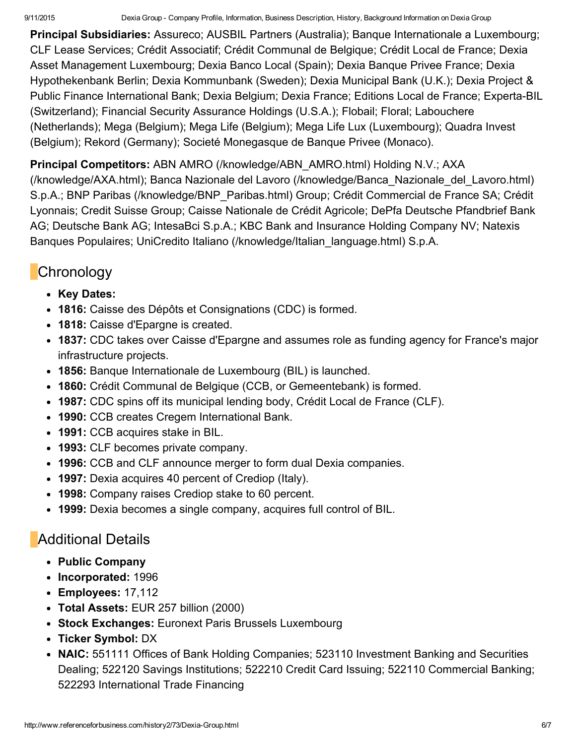Principal Subsidiaries: Assureco; AUSBIL Partners (Australia); Banque Internationale a Luxembourg; CLF Lease Services; Crédit Associatif; Crédit Communal de Belgique; Crédit Local de France; Dexia Asset Management Luxembourg; Dexia Banco Local (Spain); Dexia Banque Privee France; Dexia Hypothekenbank Berlin; Dexia Kommunbank (Sweden); Dexia Municipal Bank (U.K.); Dexia Project & Public Finance International Bank; Dexia Belgium; Dexia France; Editions Local de France; Experta-BIL (Switzerland); Financial Security Assurance Holdings (U.S.A.); Flobail; Floral; Labouchere (Netherlands); Mega (Belgium); Mega Life (Belgium); Mega Life Lux (Luxembourg); Quadra Invest (Belgium); Rekord (Germany); Societé Monegasque de Banque Privee (Monaco).

### Principal Competitors: ABN AMRO (/knowledge/ABN AMRO.html) Holding N.V.; AXA

(/knowledge/AXA.html); Banca Nazionale del Lavoro [\(/knowledge/Banca\\_Nazionale\\_de](http://www.referenceforbusiness.com/knowledge/AXA.html)[l\\_Lavoro.html\)](http://www.referenceforbusiness.com/knowledge/Banca_Nazionale_del_Lavoro.html) S.p.A.; BNP Paribas [\(/knowledge/BNP\\_Paribas.html\)](http://www.referenceforbusiness.com/knowledge/BNP_Paribas.html) Group; Crédit Commercial de France SA; Crédit Lyonnais; Credit Suisse Group; Caisse Nationale de Crédit Agricole; DePfa Deutsche Pfandbrief Bank AG; Deutsche Bank AG; IntesaBci S.p.A.; KBC Bank and Insurance Holding Company NV; Natexis Banques Populaires; UniCredito Italiano [\(/knowledge/Italian\\_language.html\)](http://www.referenceforbusiness.com/knowledge/Italian_language.html) S.p.A.

# **Chronology**

- Key Dates:
- 1816: Caisse des Dépôts et Consignations (CDC) is formed.
- 1818: Caisse d'Epargne is created.
- 1837: CDC takes over Caisse d'Epargne and assumes role as funding agency for France's major infrastructure projects.
- 1856: Banque Internationale de Luxembourg (BIL) is launched.
- 1860: Crédit Communal de Belgique (CCB, or Gemeentebank) is formed.
- 1987: CDC spins off its municipal lending body, Crédit Local de France (CLF).
- 1990: CCB creates Cregem International Bank.
- 1991: CCB acquires stake in BIL.
- 1993: CLF becomes private company.
- 1996: CCB and CLF announce merger to form dual Dexia companies.
- 1997: Dexia acquires 40 percent of Crediop (Italy).
- 1998: Company raises Crediop stake to 60 percent.
- 1999: Dexia becomes a single company, acquires full control of BIL.

# **Additional Details**

- Public Company
- Incorporated: 1996
- Employees: 17,112
- Total Assets: EUR 257 billion (2000)
- Stock Exchanges: Euronext Paris Brussels Luxembourg
- Ticker Symbol: DX
- NAIC: 551111 Offices of Bank Holding Companies; 523110 Investment Banking and Securities Dealing; 522120 Savings Institutions; 522210 Credit Card Issuing; 522110 Commercial Banking; 522293 International Trade Financing